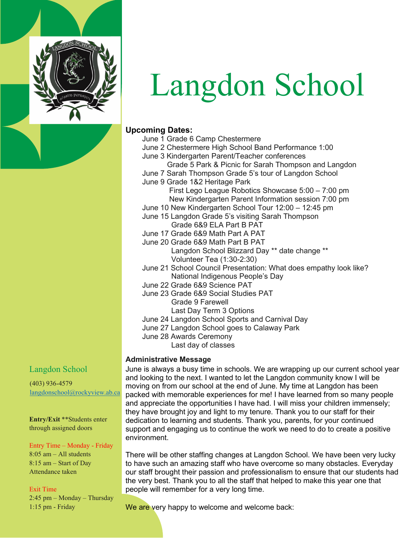

# Langdon School

### **Upcoming Dates:**

- June 1 Grade 6 Camp Chestermere
- June 2 Chestermere High School Band Performance 1:00
- June 3 Kindergarten Parent/Teacher conferences Grade 5 Park & Picnic for Sarah Thompson and Langdon
- June 7 Sarah Thompson Grade 5's tour of Langdon School
- June 9 Grade 1&2 Heritage Park

 First Lego League Robotics Showcase 5:00 – 7:00 pm New Kindergarten Parent Information session 7:00 pm

- June 10 New Kindergarten School Tour 12:00 12:45 pm June 15 Langdon Grade 5's visiting Sarah Thompson
- Grade 6&9 ELA Part B PAT
- June 17 Grade 6&9 Math Part A PAT
- June 20 Grade 6&9 Math Part B PAT Langdon School Blizzard Day \*\* date change \*\* Volunteer Tea (1:30-2:30)
- June 21 School Council Presentation: What does empathy look like? National Indigenous People's Day
- June 22 Grade 6&9 Science PAT
- June 23 Grade 6&9 Social Studies PAT

Grade 9 Farewell

- Last Day Term 3 Options
- June 24 Langdon School Sports and Carnival Day
- June 27 Langdon School goes to Calaway Park
- June 28 Awards Ceremony
	- Last day of classes

### **Administrative Message**

June is always a busy time in schools. We are wrapping up our current school year and looking to the next. I wanted to let the Langdon community know I will be moving on from our school at the end of June. My time at Langdon has been packed with memorable experiences for me! I have learned from so many people and appreciate the opportunities I have had. I will miss your children immensely; they have brought joy and light to my tenure. Thank you to our staff for their dedication to learning and students. Thank you, parents, for your continued support and engaging us to continue the work we need to do to create a positive environment.

There will be other staffing changes at Langdon School. We have been very lucky to have such an amazing staff who have overcome so many obstacles. Everyday our staff brought their passion and professionalism to ensure that our students had the very best. Thank you to all the staff that helped to make this year one that people will remember for a very long time.

We are very happy to welcome and welcome back:

# Langdon School

(403) 936-4579 [langdonschool@rockyview.ab.ca](mailto:langdonschool@rockyview.ab.ca)

**Entry/Exit** \*\*Students enter through assigned doors

#### Entry Time – Monday - Friday 8:05 am – All students

8:15 am – Start of Day Attendance taken

#### Exit Time

2:45 pm – Monday – Thursday 1:15 pm - Friday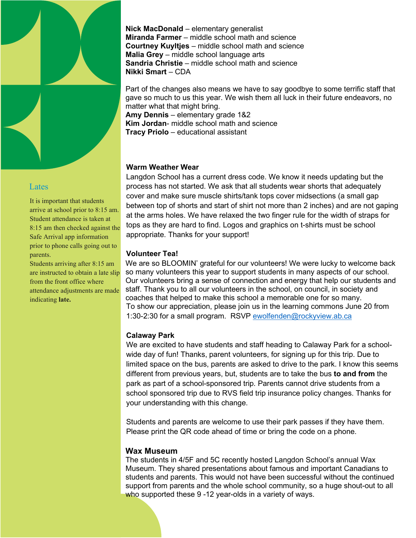

#### **Lates**

It is important that students arrive at school prior to 8:15 am. Student attendance is taken at 8:15 am then checked against the Safe Arrival app information prior to phone calls going out to parents.

Students arriving after 8:15 am are instructed to obtain a late slip from the front office where attendance adjustments are made indicating **late.**

**Nick MacDonald** – elementary generalist **Miranda Farmer** – middle school math and science **Courtney Kuyltjes** – middle school math and science **Malia Grey** – middle school language arts **Sandria Christie** – middle school math and science **Nikki Smart** – CDA

Part of the changes also means we have to say goodbye to some terrific staff that gave so much to us this year. We wish them all luck in their future endeavors, no matter what that might bring.

**Amy Dennis** – elementary grade 1&2 **Kim Jordan**- middle school math and science **Tracy Priolo** – educational assistant

#### **Warm Weather Wear**

Langdon School has a current dress code. We know it needs updating but the process has not started. We ask that all students wear shorts that adequately cover and make sure muscle shirts/tank tops cover midsections (a small gap between top of shorts and start of shirt not more than 2 inches) and are not gaping at the arms holes. We have relaxed the two finger rule for the width of straps for tops as they are hard to find. Logos and graphics on t-shirts must be school appropriate. Thanks for your support!

#### **Volunteer Tea!**

We are so BLOOMIN' grateful for our volunteers! We were lucky to welcome back so many volunteers this year to support students in many aspects of our school. Our volunteers bring a sense of connection and energy that help our students and staff. Thank you to all our volunteers in the school, on council, in society and coaches that helped to make this school a memorable one for so many. To show our appreciation, please join us in the learning commons June 20 from 1:30-2:30 for a small program. RSVP [ewolfenden@rockyview.ab.ca](mailto:ewolfenden@rockyview.ab.ca)

### **Calaway Park**

We are excited to have students and staff heading to Calaway Park for a schoolwide day of fun! Thanks, parent volunteers, for signing up for this trip. Due to limited space on the bus, parents are asked to drive to the park. I know this seems different from previous years, but, students are to take the bus **to and from** the park as part of a school-sponsored trip. Parents cannot drive students from a school sponsored trip due to RVS field trip insurance policy changes. Thanks for your understanding with this change.

Students and parents are welcome to use their park passes if they have them. Please print the QR code ahead of time or bring the code on a phone.

### **Wax Museum**

The students in 4/5F and 5C recently hosted Langdon School's annual Wax Museum. They shared presentations about famous and important Canadians to students and parents. This would not have been successful without the continued support from parents and the whole school community, so a huge shout-out to all who supported these 9 -12 year-olds in a variety of ways.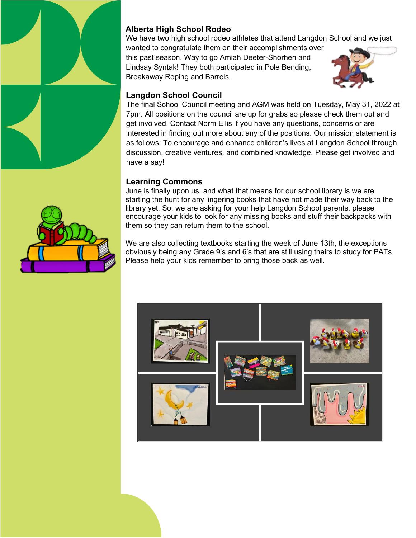

# **Alberta High School Rodeo**

We have two high school rodeo athletes that attend Langdon School and we just wanted to congratulate them on their accomplishments over this past season. Way to go Amiah Deeter-Shorhen and Lindsay Syntak! They both participated in Pole Bending, Breakaway Roping and Barrels.



## **Langdon School Council**

The final School Council meeting and AGM was held on Tuesday, May 31, 2022 at 7pm. All positions on the council are up for grabs so please check them out and get involved. Contact Norm Ellis if you have any questions, concerns or are interested in finding out more about any of the positions. Our mission statement is as follows: To encourage and enhance children's lives at Langdon School through discussion, creative ventures, and combined knowledge. Please get involved and have a say!

## **Learning Commons**

June is finally upon us, and what that means for our school library is we are starting the hunt for any lingering books that have not made their way back to the library yet. So, we are asking for your help Langdon School parents, please encourage your kids to look for any missing books and stuff their backpacks with them so they can return them to the school.

We are also collecting textbooks starting the week of June 13th, the exceptions obviously being any Grade 9's and 6's that are still using theirs to study for PATs. Please help your kids remember to bring those back as well.